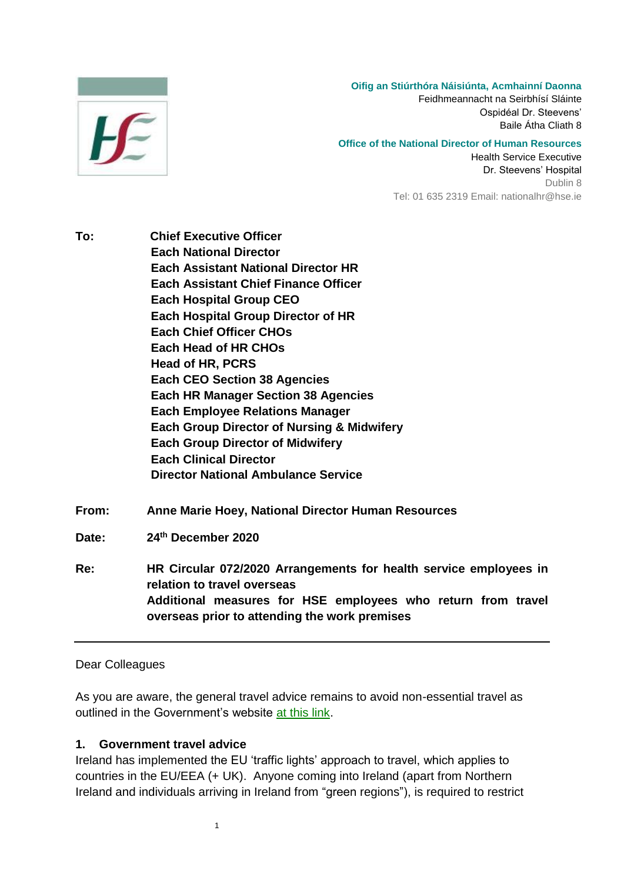

**Oifig an Stiúrthóra Náisiúnta, Acmhainní Daonna**

Feidhmeannacht na Seirbhísí Sláinte Ospidéal Dr. Steevens' Baile Átha Cliath 8

**Office of the National Director of Human Resources** Health Service Executive Dr. Steevens' Hospital Dublin 8 Tel: 01 635 2319 Email: nationalhr@hse.ie

- **To: Chief Executive Officer Each National Director Each Assistant National Director HR Each Assistant Chief Finance Officer Each Hospital Group CEO Each Hospital Group Director of HR Each Chief Officer CHOs Each Head of HR CHOs Head of HR, PCRS Each CEO Section 38 Agencies Each HR Manager Section 38 Agencies Each Employee Relations Manager Each Group Director of Nursing & Midwifery Each Group Director of Midwifery Each Clinical Director Director National Ambulance Service**
- **From: Anne Marie Hoey, National Director Human Resources**
- Date: **th December 2020**

**Re: HR Circular 072/2020 Arrangements for health service employees in relation to travel overseas Additional measures for HSE employees who return from travel overseas prior to attending the work premises**

Dear Colleagues

As you are aware, the general travel advice remains to avoid non-essential travel as outlined in the Government's website [at this link.](https://www.dfa.ie/travel/travel-advice/coronavirus/general-covid-19-travel-advisory/)

## **1. Government travel advice**

1

Ireland has implemented the EU 'traffic lights' approach to travel, which applies to countries in the EU/EEA (+ UK). Anyone coming into Ireland (apart from Northern Ireland and individuals arriving in Ireland from "green regions"), is required to restrict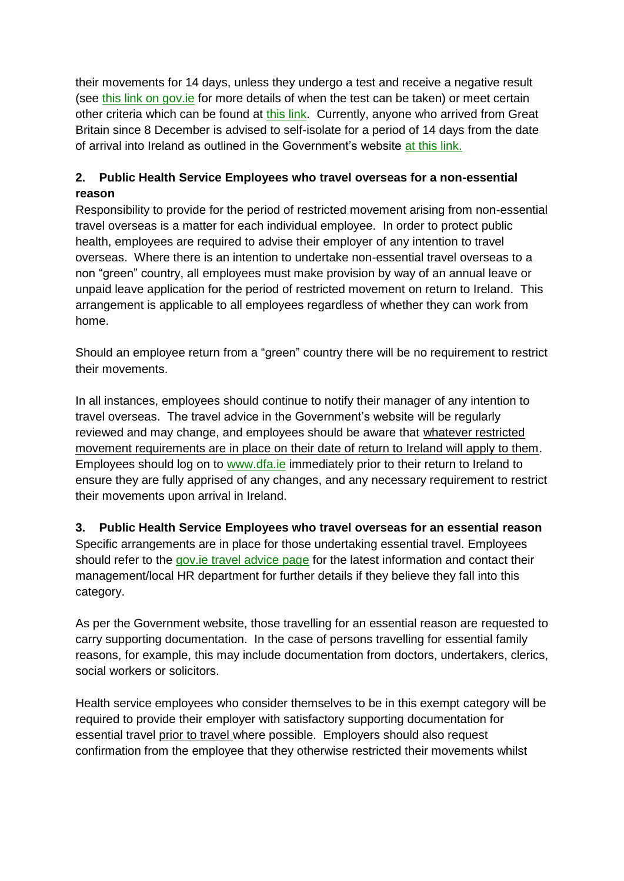their movements for 14 days, unless they undergo a test and receive a negative result (see [this link on gov.ie](https://www.gov.ie/en/publication/b4020-travelling-to-ireland-during-the-covid-19-pandemic/#post-arrival-testing-of-passengers) for more details of when the test can be taken) or meet certain other criteria which can be found at [this link.](https://www.gov.ie/en/publication/b4020-travelling-to-ireland-during-the-covid-19-pandemic/#categories-of-passengers-not-requested-to-restrict-their-movements-on-arrival) Currently, anyone who arrived from Great Britain since 8 December is advised to self-isolate for a period of 14 days from the date of arrival into Ireland as outlined in the Government's website [at this link.](https://www2.hse.ie/conditions/coronavirus/recently-arrived-into-ireland-from-britain.html)

## **2. Public Health Service Employees who travel overseas for a non-essential reason**

Responsibility to provide for the period of restricted movement arising from non-essential travel overseas is a matter for each individual employee. In order to protect public health, employees are required to advise their employer of any intention to travel overseas. Where there is an intention to undertake non-essential travel overseas to a non "green" country, all employees must make provision by way of an annual leave or unpaid leave application for the period of restricted movement on return to Ireland. This arrangement is applicable to all employees regardless of whether they can work from home.

Should an employee return from a "green" country there will be no requirement to restrict their movements.

In all instances, employees should continue to notify their manager of any intention to travel overseas. The travel advice in the Government's website will be regularly reviewed and may change, and employees should be aware that whatever restricted movement requirements are in place on their date of return to Ireland will apply to them. Employees should log on to [www.dfa.ie](http://www.dfa.ie/) immediately prior to their return to Ireland to ensure they are fully apprised of any changes, and any necessary requirement to restrict their movements upon arrival in Ireland.

**3. Public Health Service Employees who travel overseas for an essential reason** Specific arrangements are in place for those undertaking essential travel. Employees should refer to the [gov.ie travel advice page](https://www.gov.ie/en/publication/b4020-travelling-to-ireland-during-the-covid-19-pandemic/) for the latest information and contact their management/local HR department for further details if they believe they fall into this category.

As per the Government website, those travelling for an essential reason are requested to carry supporting documentation. In the case of persons travelling for essential family reasons, for example, this may include documentation from doctors, undertakers, clerics, social workers or solicitors.

Health service employees who consider themselves to be in this exempt category will be required to provide their employer with satisfactory supporting documentation for essential travel prior to travel where possible. Employers should also request confirmation from the employee that they otherwise restricted their movements whilst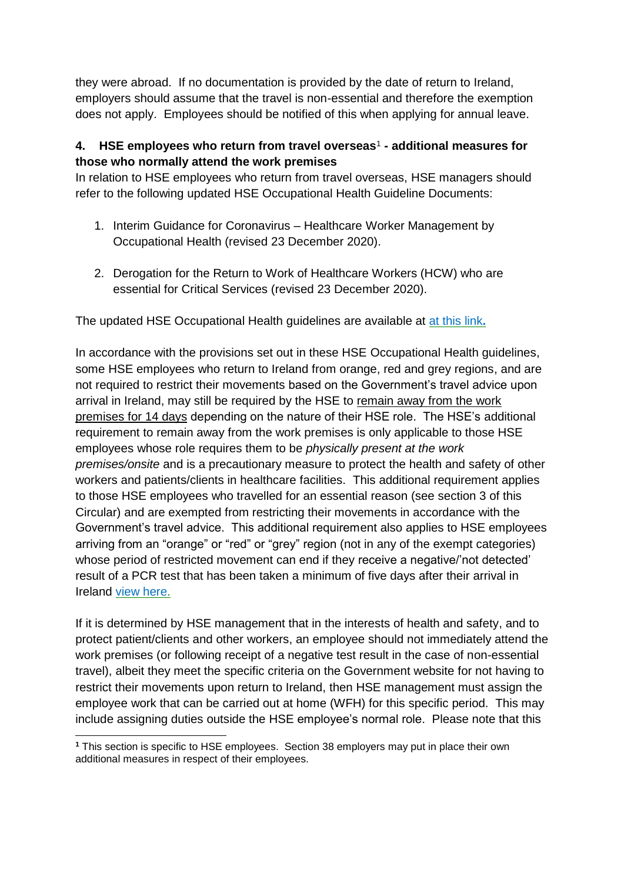they were abroad. If no documentation is provided by the date of return to Ireland, employers should assume that the travel is non-essential and therefore the exemption does not apply. Employees should be notified of this when applying for annual leave.

## **4. HSE employees who return from travel overseas**<sup>1</sup> **- additional measures for those who normally attend the work premises**

In relation to HSE employees who return from travel overseas, HSE managers should refer to the following updated HSE Occupational Health Guideline Documents:

- 1. Interim Guidance for Coronavirus Healthcare Worker Management by Occupational Health (revised 23 December 2020).
- 2. Derogation for the Return to Work of Healthcare Workers (HCW) who are essential for Critical Services (revised 23 December 2020).

The updated HSE Occupational Health guidelines are available at [at this link](https://www.hse.ie/eng/staff/workplace-health-and-wellbeing-unit/covid-19-guidance/)**.**

In accordance with the provisions set out in these HSE Occupational Health guidelines, some HSE employees who return to Ireland from orange, red and grey regions, and are not required to restrict their movements based on the Government's travel advice upon arrival in Ireland, may still be required by the HSE to remain away from the work premises for 14 days depending on the nature of their HSE role. The HSE's additional requirement to remain away from the work premises is only applicable to those HSE employees whose role requires them to be *physically present at the work premises/onsite* and is a precautionary measure to protect the health and safety of other workers and patients/clients in healthcare facilities. This additional requirement applies to those HSE employees who travelled for an essential reason (see section 3 of this Circular) and are exempted from restricting their movements in accordance with the Government's travel advice. This additional requirement also applies to HSE employees arriving from an "orange" or "red" or "grey" region (not in any of the exempt categories) whose period of restricted movement can end if they receive a negative/'not detected' result of a PCR test that has been taken a minimum of five days after their arrival in Ireland [view here.](https://www.gov.ie/en/publication/b4020-travelling-to-ireland-during-the-covid-19-pandemic/#categories-of-passengers-not-requested-to-restrict-their-movements-on-arrival)

If it is determined by HSE management that in the interests of health and safety, and to protect patient/clients and other workers, an employee should not immediately attend the work premises (or following receipt of a negative test result in the case of non-essential travel), albeit they meet the specific criteria on the Government website for not having to restrict their movements upon return to Ireland, then HSE management must assign the employee work that can be carried out at home (WFH) for this specific period. This may include assigning duties outside the HSE employee's normal role. Please note that this

<sup>-</sup>**<sup>1</sup>** This section is specific to HSE employees. Section 38 employers may put in place their own additional measures in respect of their employees.